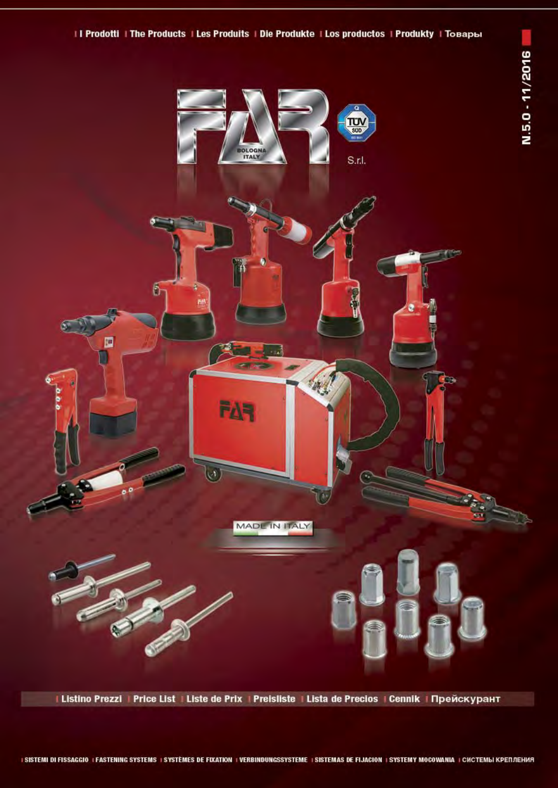



# I Listino Prezzi | Price List | Liste de Prix | Preisliste | Lista de Precios | Cennik | Прейскурант

### I SISTEMI DI FISSAGGIO I FASTENING SYSTEMS I SYSTEMES DE FIXATION I VERBINDUNGSSYSTEME I SISTEMAS DE FIJACION I SYSTEMY MOCOWANIA I CHCTEMЫ КРЕПЛЕНИЯ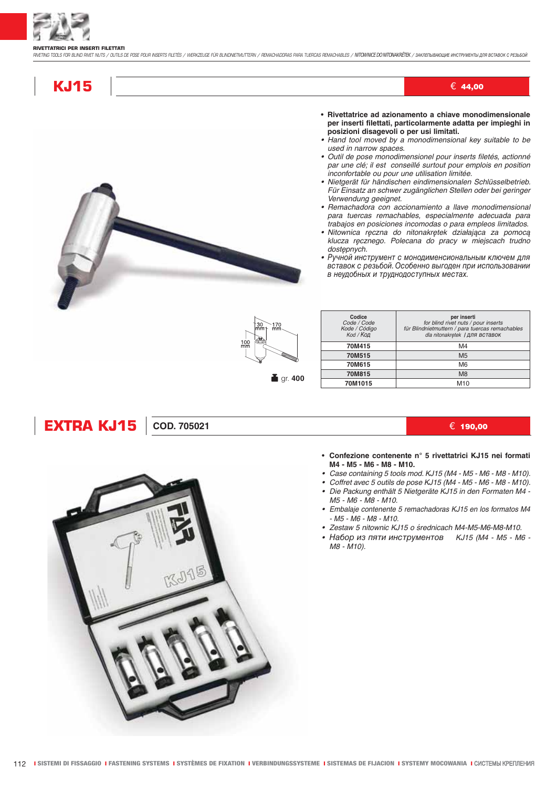

#### **RIVETTATRICI PER INSERTI FILETTATI**

RIVETING TOOLS FOR BLIND RIVET NUTS / CUTILS CE POSE POUR INSERTS FILETÉS / WERKZEUGE FÜR BLINDNETMUTTERN / REMACHADORAS PARA TUERCAS REMACHABLES / NITOWNICE DO NITOMAKRÉTEK / 3AKIREINBAOULIVE ИНСТРУМЕНТЫ ДЛЯ ВСТАВОК С PES

## **KJ15**

• Rivettatrice ad azionamento a chiave monodimensionale per inserti filettati, particolarmente adatta per impieghi in posizioni disagevoli o per usi limitati.

 $\in$  44,00

- Hand tool moved by a monodimensional key suitable to be used in narrow spaces.
- · Outil de pose monodimensionel pour inserts filetés, actionné par une clé; il est conseillé surtout pour emplois en position inconfortable ou pour une utilisation limitée.
- · Nietgerät für händischen eindimensionalen Schlüsselbetrieb. Für Einsatz an schwer zugänglichen Stellen oder bei geringer Verwendung geeignet.
- · Remachadora con accionamiento a llave monodimensional para tuercas remachables, especialmente adecuada para trabajos en posiciones incomodas o para empleos limitados.
- · Nitownica reczna do nitonakrętek działająca za pomocą klucza ręcznego. Polecana do pracy w miejscach trudno dostępnych.
- Ручной инструмент с монодименсиональным ключем для вставок с резьбой. Особенно выгоден при использовании в неудобных и труднодоступных местах.



| Codice<br>Code / Code<br>Kode / Código<br>Коd / Код | per inserti<br>for blind rivet nuts / pour inserts<br>für Blindnietmuttern / para tuercas remachables<br>dla nitonakretek   ДЛЯ ВСТАВОК |
|-----------------------------------------------------|-----------------------------------------------------------------------------------------------------------------------------------------|
| 70M415                                              | M4                                                                                                                                      |
| 70M515                                              | M <sub>5</sub>                                                                                                                          |
| 70M615                                              | M <sub>6</sub>                                                                                                                          |
| 70M815                                              | M <sub>8</sub>                                                                                                                          |
| 70M1015                                             | M <sub>10</sub>                                                                                                                         |

## **EXTRA KJ15**

### COD. 705021

### € 190.00

- Confezione contenente n° 5 rivettatrici KJ15 nei formati M4 - M5 - M6 - M8 - M10.
- Case containing 5 tools mod. KJ15 (M4 M5 M6 M8 M10).
- Coffret avec 5 outils de pose KJ15 (M4 M5 M6 M8 M10).
- Die Packung enthält 5 Nietgeräte KJ15 in den Formaten M4-M5 - M6 - M8 - M10.
- · Embalaje contenente 5 remachadoras KJ15 en los formatos M4  $-M5 - M6 - M8 - M10.$
- · Zestaw 5 nitownic KJ15 o średnicach M4-M5-M6-M8-M10.
- Набор из пяти инструментов КЈ15 (М4 М5 М6 -M8 - M10).

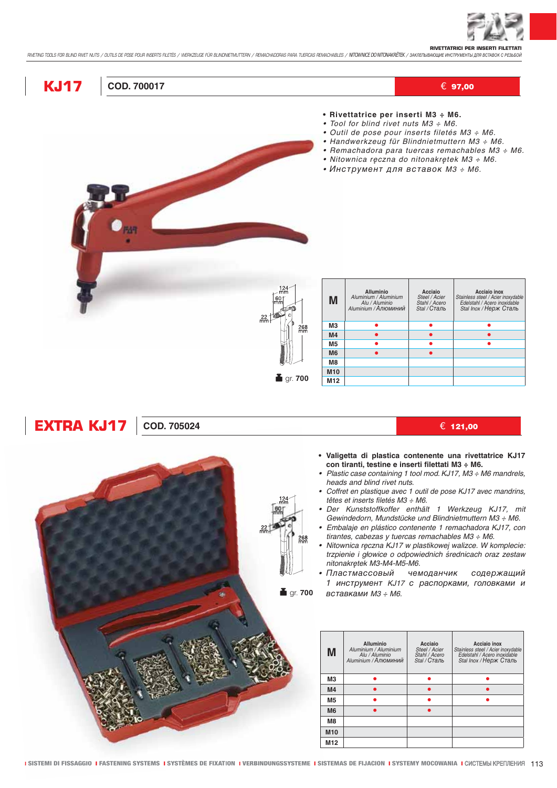

RIVETTATRICI PER INSERTI FILETTATI<br>RIVETING TOOLS FOR BUND PIVET NUTS / OUTILS DE POSE POUR INSERTS FILETES / WERKZEUGE FÜR BUNDNETMUTTERN / REMACHADORAS PARA TUERCAS REMACHABLES / NTOWNICE DO NITONAKRETEK / SAKITETIBANOLI

| <b>KJ17</b>       | <b>COD. 700017</b> |                                                                                  |                                                                                               |                                                                                                                                                                                                                                                                  |                                                                                                               | $\in$ 97,00                                                                                                                                                                                                                                                                                                                                                                                                                                                                                                                                                        |
|-------------------|--------------------|----------------------------------------------------------------------------------|-----------------------------------------------------------------------------------------------|------------------------------------------------------------------------------------------------------------------------------------------------------------------------------------------------------------------------------------------------------------------|---------------------------------------------------------------------------------------------------------------|--------------------------------------------------------------------------------------------------------------------------------------------------------------------------------------------------------------------------------------------------------------------------------------------------------------------------------------------------------------------------------------------------------------------------------------------------------------------------------------------------------------------------------------------------------------------|
|                   |                    |                                                                                  |                                                                                               | • Rivettatrice per inserti M3 ÷ M6.<br>• Tool for blind rivet nuts M3 ÷ M6.<br>• Outil de pose pour inserts filetés M3 ÷ M6.<br>• Handwerkzeug für Blindnietmuttern M3 ÷ M6.<br>• Nitownica ręczna do nitonakrętek M3 ÷ M6.<br>• Инструмент для вставок М3 ÷ М6. |                                                                                                               | • Remachadora para tuercas remachables M3 ÷ M6.                                                                                                                                                                                                                                                                                                                                                                                                                                                                                                                    |
|                   |                    | $124 \cdot$<br>$60 -$<br>$\frac{22}{\text{mm}}$<br>$\frac{268}{mm}$<br>Tigr. 700 | M<br>MЗ<br>M <sub>4</sub><br>M5<br>M <sub>6</sub><br>M <sub>8</sub><br>M10<br>M <sub>12</sub> | <b>Alluminio</b><br>Aluminium / Aluminium<br>Alu / Aluminio<br>Aluminium / Алюминий<br>$\bullet$<br>$\bullet$<br>٠<br>$\bullet$                                                                                                                                  | Acciaio<br>Steel / Acier<br>Stahl / Acero<br>Stal / Сталь<br>$\bullet$<br>$\bullet$<br>$\bullet$<br>$\bullet$ | <b>Acciaio inox</b><br>Stainless steel / Acier inoxydable<br>Edelstahl / Acero inoxidable<br>Stal Inox / Нерж Сталь<br>٠<br>$\bullet$                                                                                                                                                                                                                                                                                                                                                                                                                              |
|                   |                    |                                                                                  |                                                                                               |                                                                                                                                                                                                                                                                  |                                                                                                               |                                                                                                                                                                                                                                                                                                                                                                                                                                                                                                                                                                    |
| <b>EXTRA KJ17</b> | <b>COD. 705024</b> |                                                                                  |                                                                                               |                                                                                                                                                                                                                                                                  |                                                                                                               | € 121,00                                                                                                                                                                                                                                                                                                                                                                                                                                                                                                                                                           |
|                   |                    | 268<br>mm<br><b>i</b> gr. 700                                                    |                                                                                               | con tiranti, testine e inserti filettati M3 ÷ M6.<br>heads and blind rivet nuts.<br>têtes et inserts filetés M3 ÷ M6.<br>tirantes, cabezas y tuercas remachables M3 ÷ M6.<br>nitonakrętek M3-M4-M5-M6.<br>• Пластмассовый<br>вставками М3 ÷ М6.                  | чемоданчик                                                                                                    | · Valigetta di plastica contenente una rivettatrice KJ17<br>• Plastic case containing 1 tool mod. KJ17, M3 : M6 mandrels,<br>• Coffret en plastique avec 1 outil de pose KJ17 avec mandrins,<br>· Der Kunststoffkoffer enthält 1 Werkzeug KJ17, mit<br>Gewindedorn, Mundstücke und Blindnietmuttern M3 ÷ M6.<br>· Embalaje en plástico contenente 1 remachadora KJ17, con<br>· Nitownica ręczna KJ17 w plastikowej walizce. W komplecie:<br>trzpienie i głowice o odpowiednich średnicach oraz zestaw<br>содержащий<br>1 инструмент KJ17 с распорками, головками и |
|                   |                    |                                                                                  | M                                                                                             | Alluminio<br>Aluminium / Aluminium<br>Alu / Aluminio<br>Aluminium / Алюминий                                                                                                                                                                                     | Acciaio<br>Steel / Acier<br>Stahl / Асего<br>Stal / Сталь                                                     | Acciaio inox<br>Stainless steel / Acier inoxydable<br>Edelstahl / Acero inoxidable<br>Stal Inox / Нерж Сталь                                                                                                                                                                                                                                                                                                                                                                                                                                                       |
|                   |                    |                                                                                  | M3<br>M4                                                                                      | ٠<br>$\bullet$                                                                                                                                                                                                                                                   | ۰<br>$\bullet$                                                                                                | ٠<br>$\bullet$                                                                                                                                                                                                                                                                                                                                                                                                                                                                                                                                                     |
|                   |                    |                                                                                  | M <sub>5</sub>                                                                                | $\bullet$                                                                                                                                                                                                                                                        | ٠                                                                                                             | ۰                                                                                                                                                                                                                                                                                                                                                                                                                                                                                                                                                                  |
|                   |                    |                                                                                  | M <sub>6</sub>                                                                                | $\bullet$                                                                                                                                                                                                                                                        | $\bullet$                                                                                                     |                                                                                                                                                                                                                                                                                                                                                                                                                                                                                                                                                                    |
|                   |                    |                                                                                  | M8<br>M10                                                                                     |                                                                                                                                                                                                                                                                  |                                                                                                               |                                                                                                                                                                                                                                                                                                                                                                                                                                                                                                                                                                    |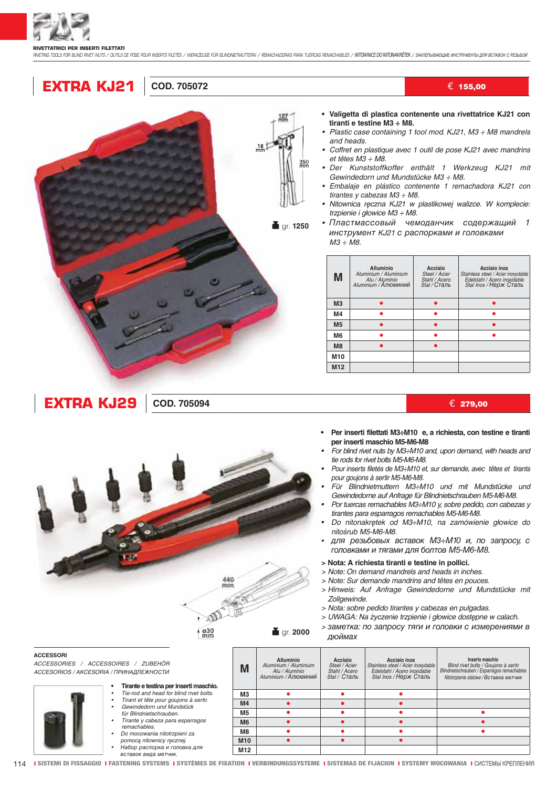

RIVETING TOOLS FOR BLIND RIVET NUTS / CUTILS DE POSE POUR INSERTS FILETÉS / WERKZEUGE FÜR BLINDNETMUTTERN / REMACHADORAS PARA TUEROAS REMACHABLES / NITOWNICE DO NITONAKRETEK / SAKIETIЫBAOЩИЕ ИНСТРУМЕНТЫ ДЛЯ ВСТАВОК С РЕЗЬБ

## **EXTRA KJ21** COD. 705072



**■** gr. 1250

- € 155,00
- Valigetta di plastica contenente una rivettatrice KJ21 con tiranti e testine M3 ÷ M8.
- Plastic case containing 1 tool mod. KJ21, M3 : M8 mandrels and heads.
- Coffret en plastique avec 1 outil de pose KJ21 avec mandrins et têtes  $M3 \div M8$ .
- Der Kunststoffkoffer enthält 1 Werkzeug KJ21 mit Gewindedorn und Mundstücke M3 ÷ M8.
- Embalaje en plástico contenente 1 remachadora KJ21 con tirantes y cabezas M3 ÷ M8.
- · Nitownica ręczna KJ21 w plastikowej walizce. W komplecie: trzpienie i głowice M3 ÷ M8.
- Пластмассовый чемоданчик содержащий 1 инструмент KJ21 с распорками и головками  $M3 \div \overline{M8}$ .

| M               | <b>Alluminio</b><br>Aluminium / Aluminium<br>Alu / Aluminio<br>Aluminium / Алюминий | Acciaio<br>Steel / Acier<br>Stahl / Acero<br>Stal / Сталь | Acciaio inox<br>Stainless steel / Acier inoxydable<br>Edelstahl / Acero inoxidable<br>Stal Inox / Нерж Сталь |
|-----------------|-------------------------------------------------------------------------------------|-----------------------------------------------------------|--------------------------------------------------------------------------------------------------------------|
| M <sub>3</sub>  |                                                                                     |                                                           |                                                                                                              |
| M <sub>4</sub>  |                                                                                     |                                                           |                                                                                                              |
| M <sub>5</sub>  |                                                                                     |                                                           |                                                                                                              |
| M <sub>6</sub>  |                                                                                     |                                                           |                                                                                                              |
| M8              |                                                                                     |                                                           |                                                                                                              |
| M <sub>10</sub> |                                                                                     |                                                           |                                                                                                              |
| M <sub>12</sub> |                                                                                     |                                                           |                                                                                                              |

€ 279,00

- Per inserti filettati M3÷M10 e, a richiesta, con testine e tiranti per inserti maschio M5-M6-M8
- For blind rivet nuts by M3:-M10 and, upon demand, with heads and tie rods for rivet bolts M5-M6-M8.
- Pour inserts filetés de M3÷M10 et, sur demande, avec têtes et tirants pour goujons à sertir M5-M6-M8.
- .<br>Für Blindnietmuttern M3÷M10 und mit Mundstücke und Gewindedorne auf Anfrage für Blindnietschrauben M5-M6-M8.
- Por tuercas remachables M3:-M10 y, sobre pedido, con cabezas y tirantes para esparragos remachables M5-M6-M8.
- Do nitonakretek od M3÷M10, na zamówienie głowice do nitośrub M5-M6-M8.
- для резьбовых вставок МЗ÷М10 и, по запросу, с головками и тягами для болтов М5-М6-М8.
- > Nota: A richiesta tiranti e testine in pollici.
- > Note: On demand mandrels and heads in inches.
- > Note: Sur demande mandrins and têtes en pouces.
- > Hinweis: Auf Anfrage Gewindedorne und Mundstücke mit Zollaewinde.
- > Nota: sobre pedido tirantes y cabezas en pulgadas.

Acciaio inox

Stainless steel / Acier inoxydable<br>Edelstahl / Acero inoxidable<br>Stal Inox / Нерж Сталь

 $\bullet$ 

- > UWAGA: Na życzenie trzpienie i głowice dostępne w calach.
- > заметка: по запросу тяги и головки с измерениями в дюймах

Inserto maschio

Blind rivet bolts / Gouions à sertir

Sind Tivet bond / Godjono a cortar<br>Sindnietschrauben / Esparragos remachable.<br>Nitotrzpienie stalowe / Вставка метчик

 $\bullet$ 

ACCESSORIES / ACCESSOIRES / ZUBEHÖR ACCESORIOS / АКСЕSORIA / ПРИНАДЛЕЖНОСТИ

**EXTRA KJ29** 

- Tirante e testina per inserti maschio.
	- Tie-rod and head for blind rivet bolts.

**COD. 705094** 

- Tirant et tête pour goujons à sertir.<br>Gewindedorn und Mundstück für Blindnietschrauben.
- Tirante y cabeza para esparragos
- remachables. Do mocowania nitotrzpieni za pomocą nitownicy ręcznej.
- ,<br>Набор распорка и головка для<br>вставок вида метчик.
- **M12**

**■** gr. 2000

**Alluminio** 

Aluminium / Aluminium<br>Alu / Aluminio

Aluminium / Алюминий

 $\bullet$ 

Acciaio

Steel / Acier<br>Stahl / Acier<br>Stal / Crane

 $\bullet$ 

 $\bullet$ 

 $440$  $mn$  $\mathfrak{D}$ 

M

 $M<sub>3</sub>$ 

 $M<sub>4</sub>$  $\overline{M5}$ 

**M6** 

**M<sub>R</sub>** 

 $M10$ 

 $\frac{630}{mm}$